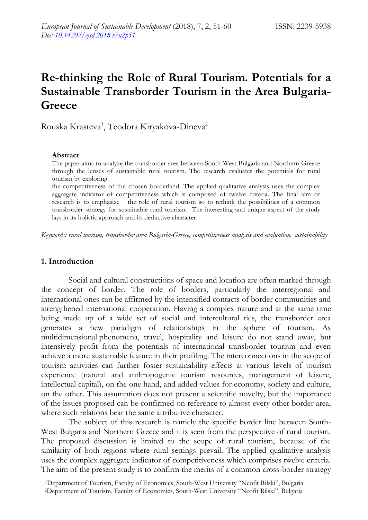# **Re-thinking the Role of Rural Tourism. Potentials for a Sustainable Transborder Tourism in the Area Bulgaria-Greece**

Rouska Krasteva<sup>1</sup>, Teodora Kiryakova-Dineva<sup>2</sup>

#### **Abstract**:

The paper aims to analyze the transborder area between South-West Bulgaria and Northern Greece through the lenses of sustainable rural tourism. The research evaluates the potentials for rural tourism by exploring

the competitiveness of the chosen borderland. The applied qualitative analysis uses the complex aggregate indicator of competitiveness which is comprised of twelve criteria. The final aim of research is to emphasize the role of rural tourism so to rethink the possibilities of a common transborder strategy for sustainable rural tourism. The interesting and unique aspect of the study lays in its holistic approach and its deductive character.

*Keywords: rural tourism, transborder area Bulgaria-Greece, competitiveness analysis and evaluation, sustainability*

# **1. Introduction**

Social and cultural constructions of space and location are often marked through the concept of border. The role of borders, particularly the interregional and international ones can be affirmed by the intensified contacts of border communities and strengthened international cooperation. Having a complex nature and at the same time being made up of a wide set of social and intercultural ties, the transborder area generates a new paradigm of relationships in the sphere of tourism. As multidimensional phenomena, travel, hospitality and leisure do not stand away, but intensively profit from the potentials of international transborder tourism and even achieve a more sustainable feature in their profiling. The interconnections in the scope of tourism activities can further foster sustainability effects at various levels of tourism experience (natural and anthropogenic tourism resources, management of leisure, intellectual capital), on the one hand, and added values for economy, society and culture, on the other. This assumption does not present a scientific novelty, but the importance of the issues proposed can be confirmed on reference to almost every other border area, where such relations bear the same attributive character.

The subject of this research is namely the specific border line between South-West Bulgaria and Northern Greece and it is seen from the perspective of rural tourism. The proposed discussion is limited to the scope of rural tourism, because of the similarity of both regions where rural settings prevail. The applied qualitative analysis uses the complex aggregate indicator of competitiveness which comprises twelve criteria. The aim of the present study is to confirm the merits of a common cross-border strategy

<sup>|</sup>1Department of Tourism, Faculty of Economics, South-West University "Neofit Rilski", Bulgaria

<sup>2</sup>Department of Tourism, Faculty of Economics, South-West University "Neofit Rilski", Bulgaria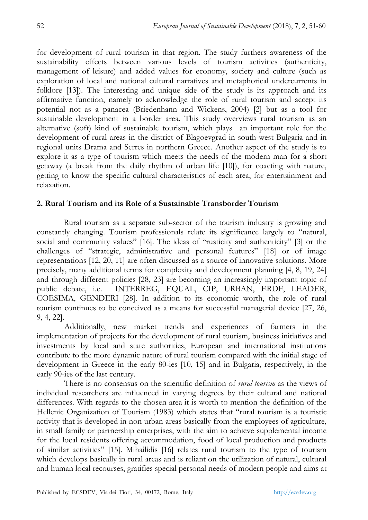for development of rural tourism in that region. The study furthers awareness of the sustainability effects between various levels of tourism activities (authenticity, management of leisure) and added values for economy, society and culture (such as exploration of local and national cultural narratives and metaphorical undercurrents in folklore [13]). The interesting and unique side of the study is its approach and its affirmative function, namely to acknowledge the role of rural tourism and accept its potential not as a panacea (Briedenhann and Wickens, 2004) [2] but as a tool for sustainable development in a border area. This study overviews rural tourism as an alternative (soft) kind of sustainable tourism, which plays an important role for the development of rural areas in the district of Blagoevgrad in south-west Bulgaria and in regional units Drama and Serres in northern Greece. Another aspect of the study is to explore it as a type of tourism which meets the needs of the modern man for a short getaway (a break from the daily rhythm of urban life [10]), for coacting with nature, getting to know the specific cultural characteristics of each area, for entertainment and relaxation.

# **2. Rural Tourism and its Role of a Sustainable Transborder Tourism**

Rural tourism as a separate sub-sector of the tourism industry is growing and constantly changing. Tourism professionals relate its significance largely to "natural, social and community values" [16]. The ideas of "rusticity and authenticity" [3] or the challenges of "strategic, administrative and personal features" [18] or of image representations [12, 20, 11] are often discussed as a source of innovative solutions. More precisely, many additional terms for complexity and development planning [4, 8, 19, 24] and through different policies [28, 23] are becoming an increasingly important topic of public debate, i.e. INTERREG, EQUAL, CIP, URBAN, ERDF, LEADER, COESIMA, GENDERI [28]. In addition to its economic worth, the role of rural tourism continues to be conceived as a means for successful managerial device [27, 26, 9, 4, 22].

Additionally, new market trends and experiences of farmers in the implementation of projects for the development of rural tourism, business initiatives and investments by local and state authorities, European and international institutions contribute to the more dynamic nature of rural tourism compared with the initial stage of development in Greece in the early 80-ies [10, 15] and in Bulgaria, respectively, in the early 90-ies of the last century.

There is no consensus on the scientific definition of *rural tourism* as the views of individual researchers are influenced in varying degrees by their cultural and national differences. With regards to the chosen area it is worth to mention the definition of the Hellenic Organization of Tourism (1983) which states that "rural tourism is a touristic activity that is developed in non urban areas basically from the employees of agriculture, in small family or partnership enterprises, with the aim to achieve supplemental income for the local residents offering accommodation, food of local production and products of similar activities" [15]. Mihailidis [16] relates rural tourism to the type of tourism which develops basically in rural areas and is reliant on the utilization of natural, cultural and human local recourses, gratifies special personal needs of modern people and aims at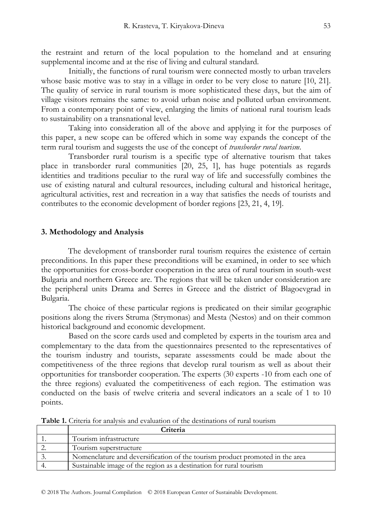the restraint and return of the local population to the homeland and at ensuring supplemental income and at the rise of living and cultural standard.

Initially, the functions of rural tourism were connected mostly to urban travelers whose basic motive was to stay in a village in order to be very close to nature [10, 21]. The quality of service in rural tourism is more sophisticated these days, but the aim of village visitors remains the same: to avoid urban noise and polluted urban environment. From a contemporary point of view, enlarging the limits of national rural tourism leads to sustainability on a transnational level.

Taking into consideration all of the above and applying it for the purposes of this paper, a new scope can be offered which in some way expands the concept of the term rural tourism and suggests the use of the concept of *transborder rural tourism*.

Transborder rural tourism is a specific type of alternative tourism that takes place in transborder rural communities [20, 25, 1], has huge potentials as regards identities and traditions peculiar to the rural way of life and successfully combines the use of existing natural and cultural resources, including cultural and historical heritage, agricultural activities, rest and recreation in a way that satisfies the needs of tourists and contributes to the economic development of border regions [23, 21, 4, 19].

## **3. Methodology and Analysis**

The development of transborder rural tourism requires the existence of certain preconditions. In this paper these preconditions will be examined, in order to see which the opportunities for cross-border cooperation in the area of rural tourism in south-west Bulgaria and northern Greece are. The regions that will be taken under consideration are the peripheral units Drama and Serres in Greece and the district of Blagoevgrad in Bulgaria.

The choice of these particular regions is predicated on their similar geographic positions along the rivers Struma (Strymonas) and Mesta (Nestos) and on their common historical background and economic development.

Based on the score cards used and completed by experts in the tourism area and complementary to the data from the questionnaires presented to the representatives of the tourism industry and tourists, separate assessments could be made about the competitiveness of the three regions that develop rural tourism as well as about their opportunities for transborder cooperation. The experts (30 experts -10 from each one of the three regions) evaluated the competitiveness of each region. The estimation was conducted on the basis of twelve criteria and several indicators an a scale of 1 to 10 points.

| Criteria                                                                     |
|------------------------------------------------------------------------------|
| Tourism infrastructure                                                       |
| Tourism superstructure                                                       |
| Nomenclature and deversification of the tourism product promoted in the area |
| Sustainable image of the region as a destination for rural tourism           |

**Table 1.** Criteria for analysis and evaluation of the destinations of rural tourism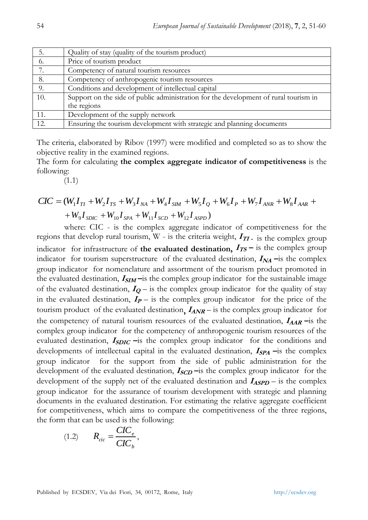| 5.  | Quality of stay (quality of the tourism product)                                     |
|-----|--------------------------------------------------------------------------------------|
| 6.  | Price of tourism product                                                             |
| 7.  | Competency of natural tourism resources                                              |
| 8.  | Competency of anthropogenic tourism resources                                        |
| 9.  | Conditions and development of intellectual capital                                   |
| 10. | Support on the side of public administration for the development of rural tourism in |
|     | the regions                                                                          |
| 11. | Development of the supply network                                                    |
| 12. | Ensuring the tourism development with strategic and planning documents               |

The criteria, elaborated by Ribov (1997) were modified and completed so as to show the objective reality in the examined regions.

The form for calculating **the complex aggregate indicator of competitiveness** is the following:

(1.1)

$$
CIC = (W_1 I_{TI} + W_2 I_{TS} + W_3 I_{NA} + W_4 I_{SM} + W_5 I_2 + W_6 I_P + W_7 I_{ANR} + W_8 I_{AAR} +
$$
  
+ W\_9 I\_{SDIC} + W\_{10} I\_{SPA} + W\_{11} I\_{SCD} + W\_{12} I\_{ASPD})

where: CIC - is the complex aggregate indicator of competitiveness for the regions that develop rural tourism,  $W$  - is the criteria weight,  $I_{TT}$  is the complex group indicator for infrastructure of the evaluated destination,  $I_{TS}$  – is the complex group indicator for tourism superstructure of the evaluated destination,  $I_{NA}$  –is the complex group indicator for nomenclature and assortment of the tourism product promoted in the evaluated destination,  $I_{SIM}$  – is the complex group indicator for the sustainable image of the evaluated destination,  $I_Q$  – is the complex group indicator for the quality of stay in the evaluated destination,  $I_P$  – is the complex group indicator for the price of the tourism product of the evaluated destination,  $I_{ANR}$  – is the complex group indicator for the competency of natural tourism resources of the evaluated destination,  $I_{AAR}$  –is the complex group indicator for the competency of anthropogenic tourism resources of the evaluated destination, **I**<sub>SDIC</sub> -is the complex group indicator for the conditions and developments of intellectual capital in the evaluated destination,  $I_{\text{SPA}}$  –is the complex group indicator for the support from the side of public administration for the development of the evaluated destination,  $I_{SCD}$  –is the complex group indicator for the development of the supply net of the evaluated destination and  $I_{\text{ASPD}}$  – is the complex group indicator for the assurance of tourism development with strategic and planning documents in the evaluated destination. For estimating the relative aggregate coefficient for competitiveness, which aims to compare the competitiveness of the three regions, the form that can be used is the following:

$$
(1.2) \qquad R_{circ} = \frac{CIC_e}{CIC_b},
$$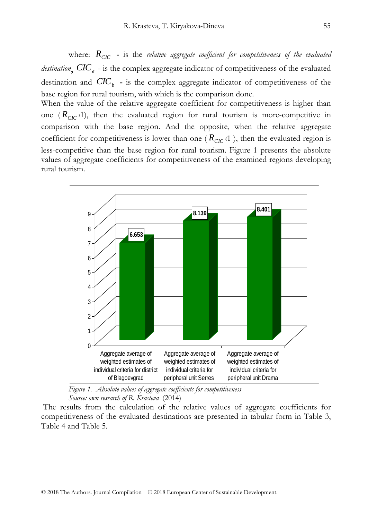where: *RCIC* **-** is the *relative aggregate coefficient for competitiveness of the evaluated destination***,** *CIC<sup>e</sup>* - is the complex aggregate indicator of competitiveness of the evaluated destination and *CIC<sup>b</sup>* **-** is the complex aggregate indicator of competitiveness of the base region for rural tourism, with which is the comparison done.

When the value of the relative aggregate coefficient for competitiveness is higher than one  $(R_{CIC}^{\text{}})^1$ , then the evaluated region for rural tourism is more-competitive in comparison with the base region. And the opposite, when the relative aggregate coefficient for competitiveness is lower than one ( $R<sub>CIC</sub>$  < 1), then the evaluated region is less-competitive than the base region for rural tourism. Figure 1 presents the absolute values of aggregate coefficients for competitiveness of the examined regions developing rural tourism.



*Figure 1. Absolute values of aggregate coefficients for competitiveness Source: own research of R. Krasteva* (2014)

The results from the calculation of the relative values of aggregate coefficients for competitiveness of the evaluated destinations are presented in tabular form in Table 3, Table 4 and Table 5.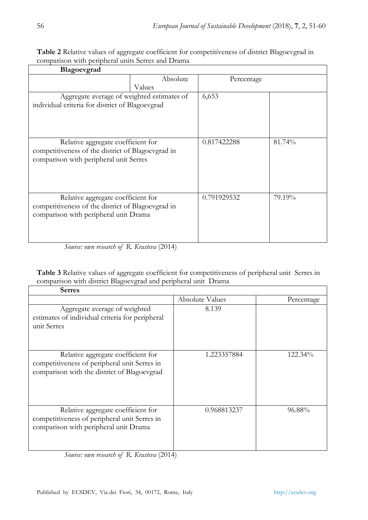| Blagoevgrad                                                                                                                       |          |             |        |
|-----------------------------------------------------------------------------------------------------------------------------------|----------|-------------|--------|
|                                                                                                                                   | Absolute | Percentage  |        |
|                                                                                                                                   | Values   |             |        |
| Aggregate average of weighted estimates of<br>individual criteria for district of Blagoevgrad                                     |          | 6,653       |        |
| Relative aggregate coefficient for<br>competitiveness of the district of Blagoevgrad in<br>comparison with peripheral unit Serres |          | 0.817422288 | 81.74% |
| Relative aggregate coefficient for<br>competitiveness of the district of Blagoevgrad in<br>comparison with peripheral unit Drama  |          | 0.791929532 | 79.19% |

**Table 2** Relative values of aggregate coefficient for competitiveness of district Blagoevgrad in comparison with peripheral units Serres and Drama

*Source: own research of R. Krasteva* (2014)

**Table 3** Relative values of aggregate coefficient for competitiveness of peripheral unit Serres in comparison with district Blagoevgrad and peripheral unit Drama

| <b>Serres</b>                                                                                                                     |                        |            |
|-----------------------------------------------------------------------------------------------------------------------------------|------------------------|------------|
|                                                                                                                                   | <b>Absolute Values</b> | Percentage |
| Aggregate average of weighted<br>estimates of individual criteria for peripheral<br>unit Serres                                   | 8.139                  |            |
| Relative aggregate coefficient for<br>competitiveness of peripheral unit Serres in<br>comparison with the district of Blagoevgrad | 1.223357884            | 122.34%    |
| Relative aggregate coefficient for<br>competitiveness of peripheral unit Serres in<br>comparison with peripheral unit Drama       | 0.968813237            | 96.88%     |

*Source: own research of R. Krasteva* (2014)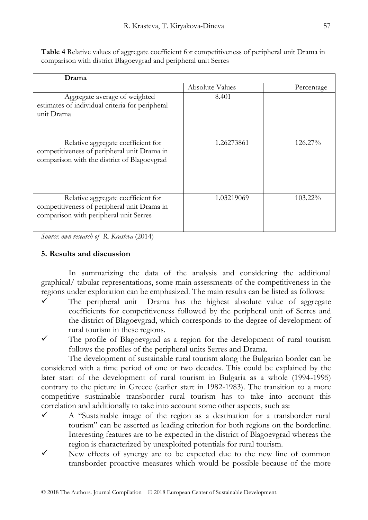|                                                                 | Table 4 Relative values of aggregate coefficient for competitiveness of peripheral unit Drama in |  |
|-----------------------------------------------------------------|--------------------------------------------------------------------------------------------------|--|
| comparison with district Blagoevgrad and peripheral unit Serres |                                                                                                  |  |

| Drama                                                                                                                            |                        |            |  |
|----------------------------------------------------------------------------------------------------------------------------------|------------------------|------------|--|
|                                                                                                                                  | <b>Absolute Values</b> | Percentage |  |
| Aggregate average of weighted<br>estimates of individual criteria for peripheral<br>unit Drama                                   | 8.401                  |            |  |
| Relative aggregate coefficient for<br>competitiveness of peripheral unit Drama in<br>comparison with the district of Blagoevgrad | 1.26273861             | 126.27%    |  |
| Relative aggregate coefficient for<br>competitiveness of peripheral unit Drama in<br>comparison with peripheral unit Serres      | 1.03219069             | 103.22%    |  |

*Source: own research of R. Krasteva* (2014)

## **5. Results and discussion**

In summarizing the data of the analysis and considering the additional graphical/ tabular representations, some main assessments of the competitiveness in the regions under exploration can be emphasized. The main results can be listed as follows:

- The peripheral unit Drama has the highest absolute value of aggregate coefficients for competitiveness followed by the peripheral unit of Serres and the district of Blagoevgrad, which corresponds to the degree of development of rural tourism in these regions.
- The profile of Blagoevgrad as a region for the development of rural tourism follows the profiles of the peripheral units Serres and Drama.

The development of sustainable rural tourism along the Bulgarian border can be considered with a time period of one or two decades. This could be explained by the later start of the development of rural tourism in Bulgaria as a whole (1994-1995) contrary to the picture in Greece (earlier start in 1982-1983). The transition to a more competitive sustainable transborder rural tourism has to take into account this correlation and additionally to take into account some other aspects, such as:

- $\checkmark$  A "Sustainable image of the region as a destination for a transborder rural tourism" can be asserted as leading criterion for both regions on the borderline. Interesting features are to be expected in the district of Blagoevgrad whereas the region is characterized by unexploited potentials for rural tourism.
- New effects of synergy are to be expected due to the new line of common transborder proactive measures which would be possible because of the more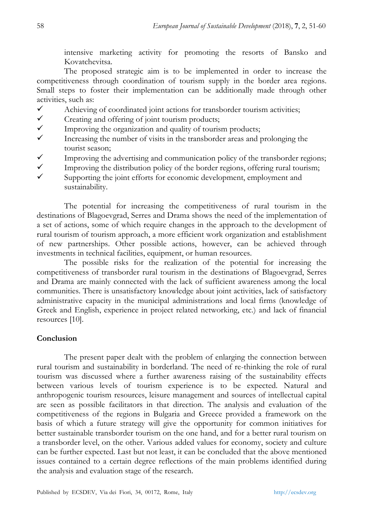intensive marketing activity for promoting the resorts of Bansko and Kovatchevitsa.

The proposed strategic aim is to be implemented in order to increase the competitiveness through coordination of tourism supply in the border area regions. Small steps to foster their implementation can be additionally made through other activities, such as:

- $\checkmark$  Achieving of coordinated joint actions for transborder tourism activities;
- $\checkmark$  Creating and offering of joint tourism products;
- $\checkmark$  Improving the organization and quality of tourism products;<br> $\checkmark$  Increasing the number of visits in the transporter areas and r
- Increasing the number of visits in the transborder areas and prolonging the tourist season;
- Improving the advertising and communication policy of the transborder regions;<br>Improving the distribution policy of the border regions, offering rural tourism:
- Improving the distribution policy of the border regions, offering rural tourism;
- Supporting the joint efforts for economic development, employment and sustainability.

The potential for increasing the competitiveness of rural tourism in the destinations of Blagoevgrad, Serres and Drama shows the need of the implementation of a set of actions, some of which require changes in the approach to the development of rural tourism of tourism approach, a more efficient work organization and establishment of new partnerships. Other possible actions, however, can be achieved through investments in technical facilities, equipment, or human resources.

The possible risks for the realization of the potential for increasing the competitiveness of transborder rural tourism in the destinations of Blagoevgrad, Serres and Drama are mainly connected with the lack of sufficient awareness among the local communities. There is unsatisfactory knowledge about joint activities, lack of satisfactory administrative capacity in the municipal administrations and local firms (knowledge of Greek and English, experience in project related networking, etc.) and lack of financial resources [10].

# **Conclusion**

The present paper dealt with the problem of enlarging the connection between rural tourism and sustainability in borderland. The need of re-thinking the role of rural tourism was discussed where a further awareness raising of the sustainability effects between various levels of tourism experience is to be expected. Natural and anthropogenic tourism resources, leisure management and sources of intellectual capital are seen as possible facilitators in that direction. The analysis and evaluation of the competitiveness of the regions in Bulgaria and Greece provided a framework on the basis of which a future strategy will give the opportunity for common initiatives for better sustainable transborder tourism on the one hand, and for a better rural tourism on a transborder level, on the other. Various added values for economy, society and culture can be further expected. Last but not least, it can be concluded that the above mentioned issues contained to a certain degree reflections of the main problems identified during the analysis and evaluation stage of the research.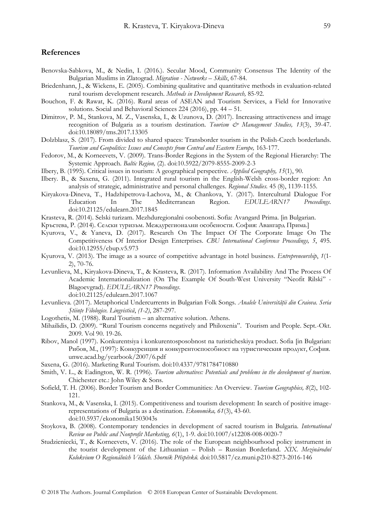## **References**

- Benovska-Sabkova, M., & Nedin, I. (2016.). Secular Mood, Community Consensus The Identity of the Bulgarian Muslims in Zlatograd. *Migration - Networks – Skills*, 67-84.
- Briedenhann, J., & Wickens, E. (2005). Combining qualitative and quantitative methods in evaluation-related rural tourism development research. *Methods in Development Research,* 85-92.
- Bouchon, F. & Rawat, K. (2016). Rural areas of ASEAN and Tourism Services, a Field for Innovative solutions. Social and Behavioral Sciences 224 (2016), pp. 44 – 51.
- Dimitrov, P. M., Stankova, M. Z., Vasenska, I., & Uzunova, D. (2017). Increasing attractiveness and image recognition of Bulgaria as a tourism destination. *Tourism & Management Studies*, 13(3), 39-47. doi:10.18089/tms.2017.13305
- Dolzblasz, S. (2017). From divided to shared spaces: Transborder tourism in the Polish-Czech borderlands. *Tourism and Geopolitics: Issues and Concepts from Central and Eastern Europe,* 163-177.
- Fedorov, M., & Korneevets, V. (2009). Trans-Border Regions in the System of the Regional Hierarchy: The Systemic Approach. *Baltic Region,* (2). doi:10.5922/2079-8555-2009-2-3
- Ilbery, B. (1995). Critical issues in tourism: A geographical perspective. *Applied Geography, 15*(1), 90.
- Ilbery. B., & Saxena, G. (2011). Integrated rural tourism in the English-Welsh cross-border region: An analysis of strategic, administrative and personal challenges. *Regional Studies.* 45 (8), 1139-1155.
- Kiryakova-Dineva, T., Hadzhipetrova-Lachova, M., & Chankova, Y. (2017). Intercultural Dialogue For Education In The Mediterranean Region. *EDULEARN17 Proceedings*. doi:10.21125/edulearn.2017.1845
- Krasteva, R. (2014). Selski turizam. Mezhduregionalni osobenosti. Sofia: Avangard Prima. [in Bulgarian.
- Кръстева, Р. (2014). Селски туризъм. Междурегионални особености. София: Авангард Прима.]
- Kyurova, V., & Yaneva, D. (2017). Research On The Impact Of The Corporate Image On The Competitiveness Of Interior Design Enterprises. *CBU International Conference Proceedings, 5*, 495. doi:10.12955/cbup.v5.973
- Kyurova, V. (2013). The image as a source of competitive advantage in hotel business. *Entrepreneurship*, *1*(1- 2), 70-76.
- Levunlieva, M., Kiryakova-Dineva, T., & Krasteva, R. (2017). Information Availability And The Process Of Academic Internationalization (On The Example Of South-West University "Neofit Rilski" - Blagoevgrad). *EDULEARN17 Proceedings*. doi:10.21125/edulearn.2017.1067
- Levunlieva. (2017). Metaphorical Undercurrents in Bulgarian Folk Songs. *Analele Universităţii din Craiova. Seria Ştiinţe Filologice. Lingvistică*, *(1-2)*, 287-297.
- Logothetis, M. (1988). Rural Tourism an alternative solution. Athens.
- Mihailidis, D. (2009). "Rural Tourism concerns negatively and Philoxenia". Tourism and People. Sept.-Okt. 2009. Vol 90. 19-26.
- Ribov, Manol (1997). Konkurentsiya i konkurentosposobnost na turisticheskiya product. Sofia [in Bulgarian: Рибов, М., (1997): Конкуренция и конкурентоспособност на туристическия продукт, София. unwe.acad.bg/yearbook/2007/6.pdf
- Saxena, G. (2016). Marketing Rural Tourism. doi:10.4337/9781784710880
- Smith, V. L., & Eadington, W. R. (1996). *Tourism alternatives: Potentials and problems in the development of tourism*. Chichester etc.: John Wiley & Sons.
- Sofield, T. H. (2006). Border Tourism and Border Communities: An Overview. *Tourism Geographies, 8*(2), 102- 121.
- Stankova, M., & Vasenska, I. (2015). Competitiveness and tourism development: In search of positive imagerepresentations of Bulgaria as a destination. *Ekonomika, 61*(3), 43-60. doi:10.5937/ekonomika1503043s
- Stoykova, B. (2008). Contemporary tendencies in development of sacred tourism in Bulgaria. *International Review on Public and Nonprofit Marketing, 6*(1), 1-9. doi:10.1007/s12208-008-0020-7
- Studzieniecki, T., & Korneevets, V. (2016). The role of the European neighbourhood policy instrument in the tourist development of the Lithuanian – Polish – Russian Borderland. *XIX. Mezinárodní Kolokvium O Regionálních Vědách. Sborník Příspěvků.* doi:10.5817/cz.muni.p210-8273-2016-146